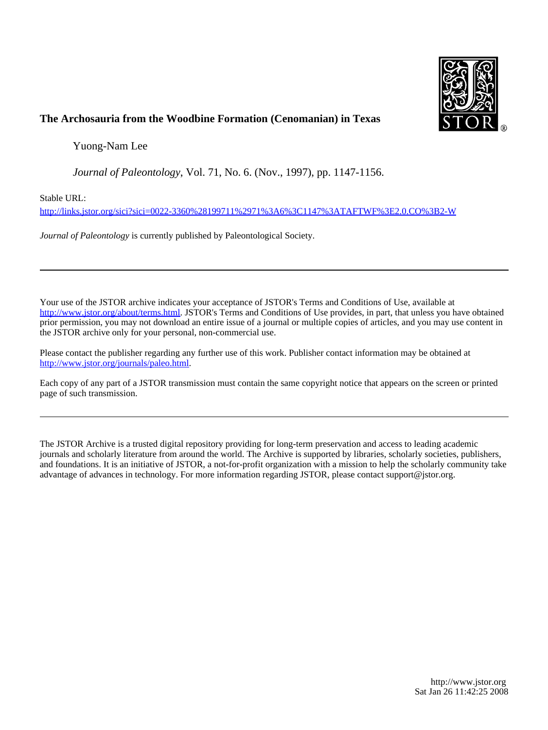

# **The Archosauria from the Woodbine Formation (Cenomanian) in Texas**

Yuong-Nam Lee

*Journal of Paleontology*, Vol. 71, No. 6. (Nov., 1997), pp. 1147-1156.

Stable URL:

<http://links.jstor.org/sici?sici=0022-3360%28199711%2971%3A6%3C1147%3ATAFTWF%3E2.0.CO%3B2-W>

*Journal of Paleontology* is currently published by Paleontological Society.

Your use of the JSTOR archive indicates your acceptance of JSTOR's Terms and Conditions of Use, available at [http://www.jstor.org/about/terms.html.](http://www.jstor.org/about/terms.html) JSTOR's Terms and Conditions of Use provides, in part, that unless you have obtained prior permission, you may not download an entire issue of a journal or multiple copies of articles, and you may use content in the JSTOR archive only for your personal, non-commercial use.

Please contact the publisher regarding any further use of this work. Publisher contact information may be obtained at <http://www.jstor.org/journals/paleo.html>.

Each copy of any part of a JSTOR transmission must contain the same copyright notice that appears on the screen or printed page of such transmission.

The JSTOR Archive is a trusted digital repository providing for long-term preservation and access to leading academic journals and scholarly literature from around the world. The Archive is supported by libraries, scholarly societies, publishers, and foundations. It is an initiative of JSTOR, a not-for-profit organization with a mission to help the scholarly community take advantage of advances in technology. For more information regarding JSTOR, please contact support@jstor.org.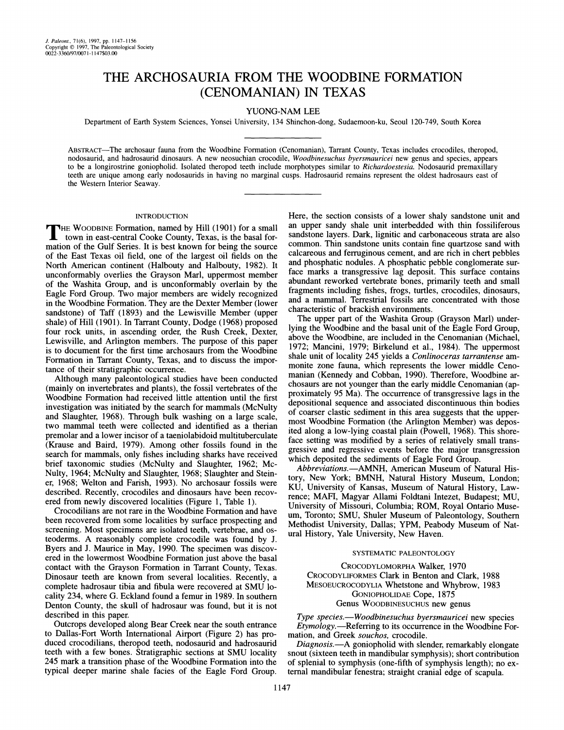# THE ARCHOSAURIA FROM THE WOODBINE FORMATION (CENOMANIAN) IN TEXAS

## YUONG-NAM LEE

Department of Earth System Sciences, Yonsei University, 134 Shinchon-dong, Sudaemoon-ku, Seoul 120-749, South Korea

ABSTRACT-The archosaur fauna from the Woodbine Formation (Cenomanian), Tarrant County, Texas includes crocodiles, theropod, nodosaurid, and hadrosaurid dinosaurs. A new neosuchian crocodile, *Woodbinesuchus bversmauricei* new genus and species, appears to be a longirostrine goniopholid. Isolated theropod teeth include morphotypes similar to *Richardoestesia.* Nodosaurid premaxillary teeth are unique among early nodosaurids in having no marginal cusps. Hadrosaurid remains represent the oldest hadrosaurs east of the Western Interior Seaway.

#### INTRODUCTION

THE WOODBINE Formation, named by Hill (1901) for a small town in east-central Cooke County, Texas, is the basal for-THE WOODBINE Formation, named by Hill (1901) for a small mation of the Gulf Series. It is best known for being the source of the East Texas oil field, one of the largest oil fields on the North American continent (Halbouty and Halbouty, 1982). It unconformably overlies the Grayson Marl, uppermost member of the Washita Group, and is unconformably overlain by the Eagle Ford Group. Two major members are widely recognized in the Woodbine Formation. They are the Dexter Member (lower sandstone) of Taff (1893) and the Lewisville Member (upper shale) of Hill (1901). In Tarrant County, Dodge (1968) proposed four rock units, in ascending order, the Rush Creek, Dexter, Lewisville, and Arlington members. The purpose of this paper is to document for the first time archosaurs from the Woodbine Formation in Tarrant County, Texas, and to discuss the importance of their stratigraphic occurrence.

Although many paleontological studies have been conducted (mainly on invertebrates and plants), the fossil vertebrates of the Woodbine Formation had received little attention until the first investigation was initiated by the search for mammals (McNulty and Slaughter, 1968). Through bulk washing on a large scale, two mammal teeth were collected and identified as a therian premolar and a lower incisor of a taeniolabidoid multituberculate (Krause and Baird, 1979). Among other fossils found in the search for mammals, only fishes including sharks have received brief taxonomic studies (McNulty and Slaughter, 1962; Mc-Nulty, 1964; McNulty and Slaughter, 1968; Slaughter and Steiner, 1968; Welton and Farish, 1993). No archosaur fossils were described. Recently, crocodiles and dinosaurs have been recovered from newly discovered localities (Figure 1, Table 1).

Crocodilians are not rare in the Woodbine Formation and have been recovered from some localities by surface prospecting and screening. Most specimens are isolated teeth, vertebrae, and 0steoderms. A reasonably complete crocodile was found by J. Byers and J. Maurice in May, 1990. The specimen was discovered in the lowermost Woodbine Formation just above the basal contact with the Grayson Formation in Tarrant County, Texas. Dinosaur teeth are known from several localities. Recently, a complete hadrosaur tibia and fibula were recovered at SMU locality 234, where G. Eckland found a femur in 1989. In southern Denton County, the skull of hadrosaur was found, but it is not described in this paper.

Outcrops developed along Bear Creek near the south entrance to Dallas-Fort Worth International Airport (Figure 2) has produced crocodilians, theropod teeth, nodosaurid and hadrosaurid teeth with a few bones. Stratigraphic sections at SMU locality 245 mark a transition phase of the Woodbine Formation into the typical deeper marine shale facies of the Eagle Ford Group.

Here, the section consists of a lower shaly sandstone unit and an upper sandy shale unit interbedded with thin fossiliferous sandstone layers. Dark, lignitic and carbonaceous strata are also common. Thin sandstone units contain fine quartzose sand with calcareous and ferruginous cement, and are rich in chert pebbles and phosphatic nodules. A phosphatic pebble conglomerate surface marks a transgressive lag deposit. This surface contains abundant reworked vertebrate bones, primarily teeth and small fragments including fishes, frogs, turtles, crocodiles, dinosaurs, and a mammal. Terrestrial fossils are concentrated with those characteristic of brackish environments.

The upper part of the Washita Group (Grayson Marl) underlying the Woodbine and the basal unit of the Eagle Ford Group, above the Woodbine, are included in the Cenomanian (Michael, 1972; Mancini, 1979; Birkelund et al., 1984). The uppermost shale unit of locality 245 yields a Conlinoceras tarrantense ammonite zone fauna, which represents the lower middle Cenomanian (Kennedy and Cobban, 1990). Therefore, Woodbine archosaurs are not younger than the early middle Cenomanian (approximately 95 Ma). The occurrence of transgressive lags in the depositional sequence and associated discontinuous thin bodies of coarser clastic sediment in this area suggests that the uppermost Woodbine Formation (the Arlington Member) was deposited along a low-lying coastal plain (Powell, 1968). This shoreface setting was modified by a series of relatively small transgressive and regressive events before the major transgression which deposited the sediments of Eagle Ford Group.

Abbreviations.-AMNH, American Museum of Natural History, New York; BMNH, Natural History Museum, London; KU, University of Kansas, Museum of Natural History, Lawrence; MAFI, Magyar Allami Foldtani Intezet, Budapest; MU, University of Missouri, Columbia; ROM, Royal Ontario Museum, Toronto; SMU, Shuler Museum of Paleontology, Southern Methodist University, Dallas; YPM, Peabody Museum of Natural History, Yale University, New Haven.

### SYSTEMATIC PALEONTOLOGY

CROCODYLOMORPHA Walker, 1970 CROCODYLIFORMES Clark in Benton and Clark, 1988 MESOEUCROCODYLIA Whetstone and Whybrow, 1983 GONIOPHOLIDAE Cope, 1875 Genus WOODBINESUCHUS new genus

Type species.-Woodbinesuchus byersmauricei new species Etymology.—Referring to its occurrence in the Woodbine Formation, and Greek souchos, crocodile.

Diagnosis.—A goniopholid with slender, remarkably elongate snout (sixteen teeth in mandibular symphysis); short contribution of splenial to symphysis (one-fifth of symphysis length); no external mandibular fenestra; straight cranial edge of scapula.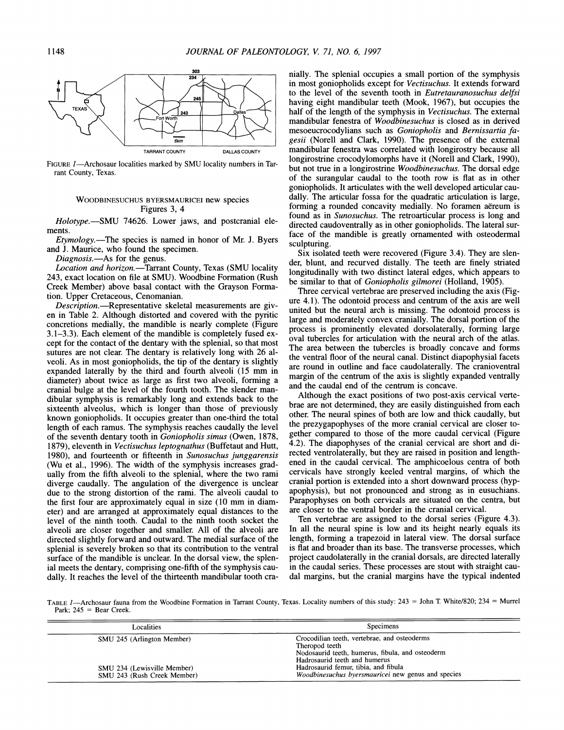

FIGURE 1-Archosaur localities marked by SMU locality numbers in Tarrant County, Texas.

### WOODBINESUCHUS BYERSMAURICEI new species Figures 3, 4

Holotype.—SMU 74626. Lower jaws, and postcranial elements.

Etymology.—The species is named in honor of Mr. J. Byers and J. Maurice, who found the specimen.

Diagnosis.-As for the genus.

Location and horizon.-Tarrant County, Texas (SMU locality 243, exact location on file at SMU). Woodbine Formation (Rush Creek Member) above basal contact with the Grayson Formation. Upper Cretaceous, Cenomanian.

Description.-Representative skeletal measurements are given in Table 2. Although distorted and covered with the pyritic concretions medially, the mandible is nearly complete (Figure 3.1-3.3). Each element of the mandible is completely fused except for the contact of the dentary with the splenial, so that most sutures are not clear. The dentary is relatively long with 26 alveoli. As in most goniopholids, the tip of the dentary is slightly expanded laterally by the third and fourth alveoli (15 mm in diameter) about twice as large as first two alveoli, forming a cranial bulge at the level of the fourth tooth. The slender mandibular symphysis is remarkably long and extends back to the sixteenth alveolus, which is longer than those of previously known goniopholids. It occupies greater than one-third the total length of each ramus. The symphysis reaches caudally the level of the seventh dentary tooth in Goniopholis simus (Owen, 1878, 1879), eleventh in Vectisuchus leptognathus (Buffetaut and Hutt, 1980), and fourteenth or fifteenth in Sunosuchus junggarensis (Wu et al., 1996). The width of the symphysis increases gradually from the fifth alveoli to the splenial, where the two rami diverge caudally. The angulation of the divergence is unclear due to the strong distortion of the rami. The alveoli caudal to the first four are approximately equal in size (10 mm in diameter) and are arranged at approximately equal distances to the level of the ninth tooth. Caudal to the ninth tooth socket the alveoli are closer together and smaller. All of the alveoli are directed slightly forward and outward. The medial surface of the splenial is severely broken so that its contribution to the ventral surface of the mandible is unclear. In the dorsal view, the splenial meets the dentary, comprising one-fifth of the symphysis caudally. It reaches the level of the thirteenth mandibular tooth cranially. The splenial occupies a small portion of the symphysis in most goniopholids except for Vectisuchus. It extends forward to the level of the seventh tooth in Eutretauranosuchus delfsi having eight mandibular teeth (Mook, 1967), but occupies the half of the length of the symphysis in Vectisuchus. The external mandibular fenestra of Woodbinesuchus is closed as in derived mesoeucrocodylians such as Goniopholis and Bernissartia fagesii (Norell and Clark, 1990). The presence of the external mandibular fenestra was correlated with longirostry because all longirostrine crocodylomorphs have it (Norell and Clark, 1990), but not true in a longirostrine Woodbinesuchus. The dorsal edge of the surangular caudal to the tooth row is flat as in other goniopholids. It articulates with the well developed articular caudally. The articular fossa for the quadratic articulation is large, forming a rounded concavity medially. No foramen aereum is found as in Sunosuchus. The retroarticular process is long and directed caudoventrally as in other goniopholids. The lateral surface of the mandible is greatly ornamented with osteodermal sculpturing.

Six isolated teeth were recovered (Figure 3.4). They are slender, blunt, and recurved distally. The teeth are finely striated longitudinally with two distinct lateral edges, which appears to be similar to that of Goniopholis gilmorei (Holland, 1905).

Three cervical vertebrae are preserved including the axis (Figure 4.1). The odontoid process and centrum of the axis are well united but the neural arch is missing. The odontoid process is large and moderately convex cranially. The dorsal portion of the process is prominently elevated dorsolaterally, forming large oval tubercles for articulation with the neural arch of the atlas. The area between the tubercles is broadly concave and forms the ventral floor of the neural canal. Distinct diapophysial facets are round in outline and face caudolaterally. The cranioventral margin of the centrum of the axis is slightly expanded ventrally and the caudal end of the centrum is concave.

Although the exact positions of two post-axis cervical vertebrae are not determined, they are easily distinguished from each other. The neural spines of both are low and thick caudally, but the prezygapophyses of the more cranial cervical are closer together compared to those of the more caudal cervical (Figure 4.2). The diapophyses of the cranial cervical are short and directed ventrolaterally, but they are raised in position and lengthened in the caudal cervical. The amphicoelous centra of both cervicals have strongly keeled ventral margins, of which the cranial portion is extended into a short downward process (hypapophysis), but not pronounced and strong as in eusuchians. Parapophyses on both cervicals are situated on the centra, but are closer to the ventral border in the cranial cervical.

Ten vertebrae are assigned to the dorsal series (Figure 4.3). In all the neural spine is low and its height nearly equals its length, forming a trapezoid in lateral view. The dorsal surface is flat and broader than its base. The transverse processes, which project caudolaterally in the cranial dorsals, are directed laterally in the caudal series. These processes are stout with straight caudal margins, but the cranial margins have the typical indented

TABLE I-Archosaur fauna from the Woodbine Formation in Tarrant County, Texas. Locality numbers of this study:  $243 =$  John T. White/820;  $234 =$  Murrel Park;  $245 =$  Bear Creek.

| Localities                                                 | Specimens                                                                                                                                           |
|------------------------------------------------------------|-----------------------------------------------------------------------------------------------------------------------------------------------------|
| SMU 245 (Arlington Member)                                 | Crocodilian teeth, vertebrae, and osteoderms<br>Theropod teeth<br>Nodosaurid teeth, humerus, fibula, and osteoderm<br>Hadrosaurid teeth and humerus |
| SMU 234 (Lewisville Member)<br>SMU 243 (Rush Creek Member) | Hadrosaurid femur, tibia, and fibula<br><i>Woodbinesuchus byersmauricei</i> new genus and species                                                   |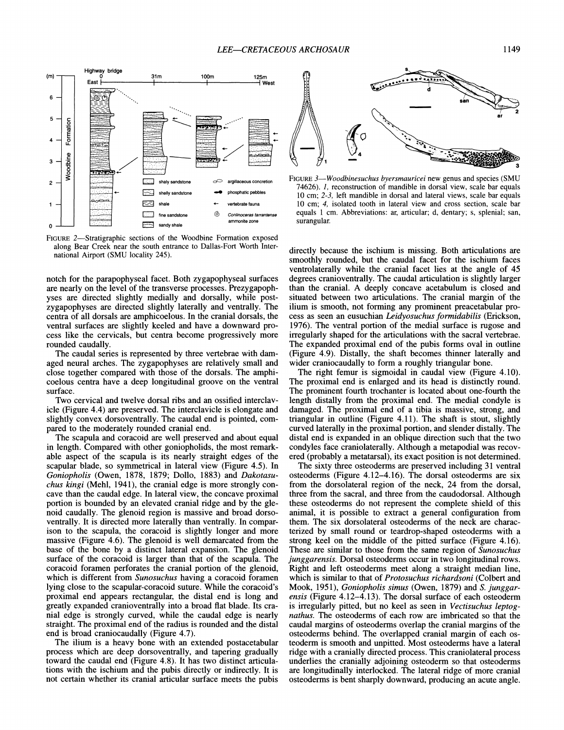

FIGURE 2-Stratigraphic sections of the Woodbine Formation exposed along Bear Creek near the south entrance to Dallas-Fort Worth International Airport (SMU locality 245).

notch for the parapophyseal facet. Both zygapophyseal surfaces are nearly on the level of the transverse processes. Prezygapophyses are directed slightly medially and dorsally, while postzygapophyses are directed slightly laterally and ventrally. The centra of all dorsals are amphicoelous. In the cranial dorsals, the ventral surfaces are slightly keeled and have a downward process like the cervicals, but centra become progressively more rounded caudally.

The caudal series is represented by three vertebrae with damaged neural arches. The zygapophyses are relatively small and close together compared with those of the dorsals. The amphicoelous centra have a deep longitudinal groove on the ventral surface.

Two cervical and twelve dorsal ribs and an ossified interclavicle (Figure 4.4) are preserved. The interclavicle is elongate and slightly convex dorsoventrally. The caudal end is pointed, compared to the moderately rounded cranial end.

The scapula and coracoid are well preserved and about equal in length. Compared with other goniopholids, the most remarkable aspect of the scapula is its nearly straight edges of the scapular blade, so symmetrical in lateral view (Figure 4.5). In *Goniopholis* (Owen, 1878, 1879; Dollo, 1883) and *Dakotasuchus kingi* (Mehl, 1941), the cranial edge is more strongly concave than the caudal edge. In lateral view, the concave proximal portion is bounded by an elevated cranial ridge and by the glenoid caudally. The glenoid region is massive and broad dorsoventrally. It is directed more laterally than ventrally. In comparison to the scapula, the coracoid is slightly longer and more massive (Figure 4.6). The glenoid is well demarcated from the base of the bone by a distinct lateral expansion. The glenoid surface of the coracoid is larger than that of the scapula. The coracoid foramen perforates the cranial portion of the glenoid, which is different from *Sunosuchus* having a coracoid foramen lying close to the scapular-coracoid suture. While the coracoid's proximal end appears rectangular, the distal end is long and greatly expanded cranioventrally into a broad flat blade. Its cranial edge is strongly curved, while the caudal edge is nearly straight. The proximal end of the radius is rounded and the distal end is broad craniocaudally (Figure 4.7).

The ilium is a heavy bone with an extended postacetabular process which are deep dorsoventrally, and tapering gradually toward the caudal end (Figure 4.8). It has two distinct articulations with the ischium and the pubis directly or indirectly. It is not certain whether its cranial articular surface meets the pubis



FIGURE*3-Woodbinesuchus byersmauricei* new genus and species (SMU 74626). I, reconstruction of mandible in dorsal view, scale bar equals 10 cm; 2-3, left mandible in dorsal and lateral views, scale bar equals 10 cm; 4, isolated tooth in lateral view and cross section, scale bar equals 1 cm. Abbreviations: ar, articular; d, dentary; s, splenial; san, surangular.

directly because the ischium is missing. Both articulations are smoothly rounded, but the caudal facet for the ischium faces ventrolaterally while the cranial facet lies at the angle of 45 degrees cranioventrally. The caudal articulation is slightly larger than the cranial. **A** deeply concave acetabulum is closed and situated between two articulations. The cranial margin of the ilium is smooth, not forming any prominent preacetabular process as seen an eusuchian *Leidyosuchus formidabilis* (Erickson, 1976). The ventral portion of the medial surface is rugose and irregularly shaped for the articulations with the sacral vertebrae. The expanded proximal end of the pubis forms oval in outline (Figure 4.9). Distally, the shaft becomes thinner laterally and wider craniocaudally to form a roughly triangular bone.

The right femur is sigmoidal in caudal view (Figure 4.10). The proximal end is enlarged and its head is distinctly round. The prominent fourth trochanter is located about one-fourth the length distally from the proximal end. The medial condyle is damaged. The proximal end of a tibia is massive, strong, and triangular in outline (Figure 4.11). The shaft is stout, slightly curved laterally in the proximal portion, and slender distally. The distal end is expanded in an oblique direction such that the two condyles face craniolaterally. Although a metapodial was recovered (probably a metatarsal), its exact position is not determined.

The sixty three osteoderms are preserved including 31 ventral osteoderms (Figure 4.12-4.16). The dorsal osteoderms are six from the dorsolateral region of the neck, 24 from the dorsal, three from the sacral, and three from the caudodorsal. Although these osteoderms do not represent the complete shield of this animal, it is possible to extract a general configuration from them. The six dorsolateral osteoderms of the neck are characterized by small round or teardrop-shaped osteoderms with a strong keel on the middle of the pitted surface (Figure 4.16). These are similar to those from the same region of *Sunosuchus junggarensis.* Dorsal osteoderms occur in two longitudinal rows. Right and left osteoderms meet along a straight median line, which is similar to that of *Protosuchus richardsoni* (Colbert and Mook, 1951), *Goniopholis simus* (Owen, 1879) and *S. junggarensis* (Figure 4.12-4.13). The dorsal surface of each osteoderm is irregularly pitted, but no keel as seen in *Vectisuchus leptognathus.* The osteoderms of each row are imbricated so that the caudal margins of osteoderms overlap the cranial margins of the osteoderms behind. The overlapped cranial margin of each osteoderm is smooth and unpitted. Most osteoderms have a lateral ridge with a cranially directed process. This craniolateral process underlies the cranially adjoining osteoderm so that osteoderms are longitudinally interlocked. The lateral ridge of more cranial osteoderms is bent sharply downward, producing an acute angle.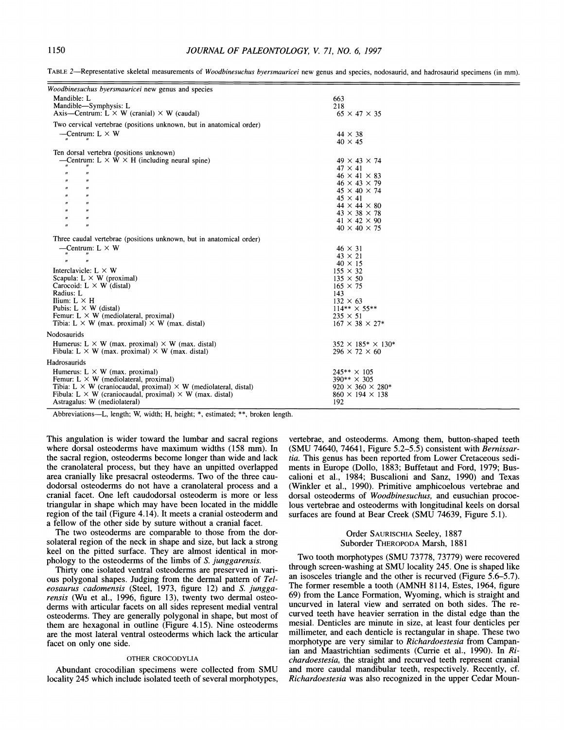| Woodbinesuchus byersmauricei new genus and species                             |                                 |
|--------------------------------------------------------------------------------|---------------------------------|
| Mandible: L                                                                    | 663                             |
| Mandible-Symphysis: L                                                          | 218                             |
| Axis—Centrum: L $\times$ W (cranial) $\times$ W (caudal)                       | $65 \times 47 \times 35$        |
|                                                                                |                                 |
| Two cervical vertebrae (positions unknown, but in anatomical order)            |                                 |
| —Centrum: $L \times W$                                                         | $44 \times 38$                  |
|                                                                                | $40 \times 45$                  |
| Ten dorsal vertebra (positions unknown)                                        |                                 |
| —Centrum: $L \times W \times H$ (including neural spine)                       | $49 \times 43 \times 74$        |
|                                                                                | $47 \times 41$                  |
| $^{\prime\prime}$<br>$^{\prime\prime}$                                         | $46 \times 41 \times 83$        |
| $^{\prime\prime}$<br>$^{\prime\prime}$                                         | $46 \times 43 \times 79$        |
| $\boldsymbol{n}$<br>$^{\prime\prime}$                                          | $45 \times 40 \times 74$        |
| $^{\prime\prime}$<br>$^{\prime\prime}$                                         | $45 \times 41$                  |
| $\mathbf{u}$<br>$^{\prime\prime}$                                              | $44 \times 44 \times 80$        |
| $^{\prime\prime}$<br>$\boldsymbol{H}$                                          | $43 \times 38 \times 78$        |
| n<br>$^{\prime\prime}$                                                         | $41 \times 42 \times 90$        |
| $\boldsymbol{\prime\prime}$<br>$^{\prime\prime}$                               | $40 \times 40 \times 75$        |
| Three caudal vertebrae (positions unknown, but in anatomical order)            |                                 |
| —Centrum: $L \times W$                                                         | $46 \times 31$                  |
| $^{\prime\prime}$                                                              | $43 \times 21$                  |
| $^{\prime\prime}$<br>$\pmb{\prime}$                                            | $40 \times 15$                  |
| Interclavicle: $L \times W$                                                    | $155 \times 32$                 |
| Scapula: $L \times W$ (proximal)                                               | $135 \times 50$                 |
| Carocoid: $L \times W$ (distal)                                                | $165 \times 75$                 |
| Radius: L                                                                      | 143                             |
| Ilium: $L \times H$                                                            | $132 \times 63$                 |
| Pubis: $L \times W$ (distal)                                                   | $114*** \times 55**$            |
| Femur: $L \times W$ (mediolateral, proximal)                                   | $235 \times 51$                 |
| Tibia: L $\times$ W (max. proximal) $\times$ W (max. distal)                   | $167 \times 38 \times 27*$      |
| Nodosaurids                                                                    |                                 |
| Humerus: L $\times$ W (max. proximal) $\times$ W (max. distal)                 | $352 \times 185^* \times 130^*$ |
| Fibula: L $\times$ W (max. proximal) $\times$ W (max. distal)                  | $296 \times 72 \times 60$       |
|                                                                                |                                 |
| Hadrosaurids                                                                   |                                 |
| Humerus: $L \times W$ (max. proximal)                                          | $245** \times 105$              |
| Femur: $L \times W$ (mediolateral, proximal)                                   | $390** \times 305$              |
| Tibia: L $\times$ W (craniocaudal, proximal) $\times$ W (mediolateral, distal) | $920 \times 360 \times 280*$    |
| Fibula: L $\times$ W (craniocaudal, proximal) $\times$ W (max. distal)         | $860 \times 194 \times 138$     |
| Astragalus: W (mediolateral)                                                   | 192                             |
|                                                                                |                                 |

TABLE 2-Representative skeletal measurements of *Woodbinesuchus byersmauricei* new genus and species, nodosaurid, and hadrosaurid specimens (in mm).

Abbreviations-L, length; W, width; H, height; \*, estimated; \*\*, broken length.

This angulation is wider toward the lumbar and sacral regions where dorsal osteoderms have maximum widths (158 mm). In the sacral region, osteoderms become longer than wide and lack the cranolateral process, but they have an unpitted overlapped area cranially like presacral osteoderms. Two of the three caudodorsal osteoderms do not have a cranolateral process and a cranial facet. One left caudodorsal osteoderm is more or less triangular in shape which may have been located in the middle region of the tail (Figure 4.14). It meets a cranial osteoderm and a fellow of the other side by suture without a cranial facet.

The two osteoderms are comparable to those from the dorsolateral region of the neck in shape and size, but lack a strong keel on the pitted surface. They are almost identical in morphology to the osteoderms of the limbs of S. *junggarensis.* 

Thirty one isolated ventral osteoderms are preserved in various polygonal shapes. Judging from the dermal pattern of *Tel eosaurus cadomensis* (Steel, 1973, figure 12) and S. *junggarensis* (Wu et al., 1996, figure 13), twenty two dermal osteoderms with articular facets on all sides represent medial ventral osteoderms. They are generally polygonal in shape, but most of them are hexagonal in outline (Figure 4.15). Nine osteoderms are the most lateral ventral osteoderms which lack the articular facet on only one side.

### OTHER CROCODYLlA

Abundant crocodilian specimens were collected from SMU locality 245 which include isolated teeth of several morphotypes, vertebrae, and osteoderms. Among them, button-shaped teeth (SMU 74640, 74641, Figure 5.2-5.5) consistent with *Bernissartia.* This genus has been reported from Lower Cretaceous sediments in Europe (Dollo, 1883; Buffetaut and Ford, 1979; Buscalioni et al., 1984; Buscalioni and Sanz, 1990) and Texas (Winkler et al., 1990). Primitive amphicoelous vertebrae and dorsal osteoderms of *Woodbinesuchus,* and eusuchian procoelous vertebrae and osteoderms with longitudinal keels on dorsal surfaces are found at Bear Creek (SMU 74639, Figure 5.1).

### Order SAURISCHIA Seeley, 1887 Suborder THEROPODA Marsh, 1881

Two tooth morphotypes (SMU 73778, 73779) were recovered through screen-washing at SMU locality 245. One is shaped like an isosceles triangle and the other is recurved (Figure 5.6-5.7). The former resemble a tooth (AMNH 81 14, Estes, 1964, figure 69) from the Lance Formation, Wyoming, which is straight and uncurved in lateral view and serrated on both sides. The recurved teeth have heavier serration in the distal edge than the mesial. Denticles are minute in size, at least four denticles per millimeter, and each denticle is rectangular in shape. These two morphotype are very similar to *Richardoestesia* from Campanian and Maastrichtian sediments (Currie et al., 1990). In *Richardoestesia,* the straight and recurved teeth represent cranial and more caudal mandibular teeth, respectively. Recently, cf. *Richardoestesia* was also recognized in the upper Cedar Moun-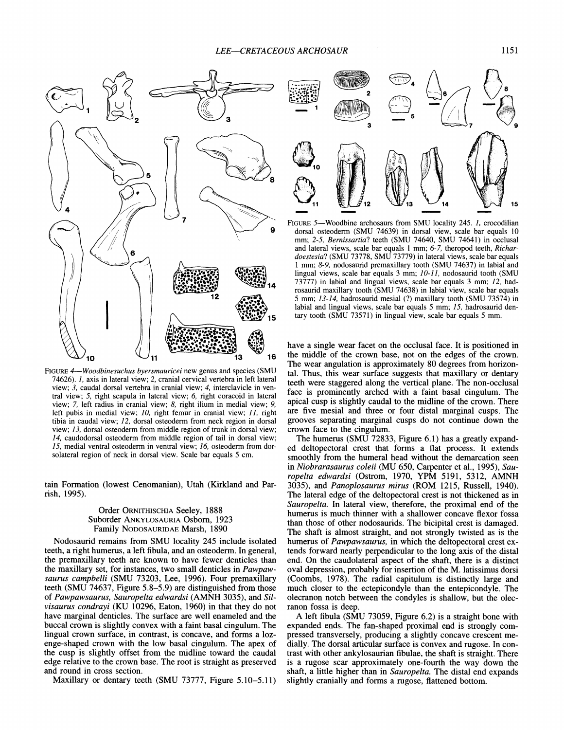

FIGURE*4-Woodbinesuchus byersmauricei* new genus and species (SMU 74626). *1,* axis in lateral view; 2, cranial cervical vertebra in left lateral view; 3, caudal dorsal vertebra in cranial view; 4, interclavicle in ventral view; 5, right scapula in lateral view; *6,* right coracoid in lateral view; 7, left radius in cranial view; *8,* right ilium in medial view; *9,*  left pubis in medial view; *10,* right femur in cranial view; *11,* right tibia in caudal view; *12,* dorsal osteoderm from neck region in dorsal view; *13,* dorsal osteoderm from middle region of trunk in dorsal view; *14,* caudodorsal osteoderm from middle region of tail in dorsal view; *15,* medial ventral osteoderm in ventral view; *16,* osteoderm from dorsolateral region of neck in dorsal view. Scale bar equals 5 cm.

tain Formation (lowest Cenomanian), Utah (Kirkland and Parrish, 1995).

### Order ORNITHISCHIA Seeley, 1888 Suborder ANKYLOSAURIA Osborn, 1923 Family NODOSAURIDAE Marsh, 1890

Nodosaurid remains from SMU locality 245 include isolated teeth, a right humerus, a left fibula, and an osteoderm. In general, the premaxillary teeth are known to have fewer denticles than the maxillary set, for instances, two small denticles in *Pawpawsaurus carnpbelli* (SMU 73203, Lee, 1996). Four premaxillary teeth (SMU 74637, Figure 5.8-5.9) are distinguished from those of *Pawpawsaurus, Sauropelta edwardsi* (AMNH 3035), and *Silvisaurus condrayi* (KU 10296, Eaton, 1960) in that they do not have marginal denticles. The surface are well enameled and the buccal crown is slightly convex with a faint basal cingulum. The lingual crown surface, in contrast, is concave, and forms a lozenge-shaped crown with the low basal cingulum. The apex of the cusp is slightly offset from the midline toward the caudal edge relative to the crown base. The root is straight as preserved and round in cross section.

Maxillary or dentary teeth (SMU 73777, Figure 5.10-5.11)



FIGURE 5-Woodbine archosaurs from SMU locality 245. *1*, crocodilian dorsal osteoderm (SMU 74639) in dorsal view, scale bar equals 10 mm; 2-5, *Bernissartia?* teeth (SMU 74640, SMU 74641) in occlusal and lateral views, scale bar equals 1 mm; 6-7, theropod teeth, *Richardoestesia?* (SMU 73778, SMU 73779) in lateral views, scale bar equals 1 mm; *8-9,* nodosaurid premaxillary tooth (SMU 74637) in labial and lingual views, scale bar equals 3 mm; *10-11,* nodosaurid tooth (SMU 73777) in labial and lingual views, scale bar equals 3 mm; *12,* hadrosaurid maxillary tooth (SMU 74638) in labial view, scale bar equals 5 mm; *13-14,* hadrosaurid mesial (?) maxillary tooth (SMU 73574) in labial and lingual views, scale bar equals 5 mm; 15, hadrosaurid dentary tooth (SMU 73571) in lingual view, scale bar equals 5 mm.

have a single wear facet on the occlusal face. It is positioned in the middle of the crown base, not on the edges of the crown. The wear angulation is approximately 80 degrees from horizontal. Thus, this wear surface suggests that maxillary or dentary teeth were staggered along the vertical plane. The non-occlusal face is prominently arched with a faint basal cingulum. The apical. cusp is slightly caudal to the midline of the crown. There are five mesial and three or four distal marginal cusps. The grooves separating marginal cusps do not continue down the crown face to the cingulum.

The humerus (SMU 72833, Figure 6.1) has a greatly expanded deltopectoral crest that forms a flat process. It extends smoothly from the humeral head without the demarcation seen in *Niobrarasaurus coleii* (MU 650, Carpenter et al., 1995), *Sauropelta edwardsi* (Ostrom, 1970, YPM 5191, 5312, AMNH 3035), and *Panoplosaurus mirus* (ROM 1215, Russell, 1940). The lateral edge of the deltopectoral crest is not thickened as in *Sauropelta.* In lateral view, therefore, the proximal end of the humerus is much thinner with a shallower concave flexor fossa than those of other nodosaurids. The bicipital crest is damaged. The shaft is almost straight, and not strongly twisted as is the humerus of *Pawpawsaurus,* in which the deltopectoral crest extends forward nearly perpendicular to the long axis of the distal end. On the caudolateral aspect of the shaft, there is a distinct oval depression, probably for insertion of the M. latissimus dorsi (Coombs, 1978). The radial capitulum is distinctly large and much closer to the ectepicondyle than the entepicondyle. The olecranon notch between the condyles is shallow, but the olecranon fossa is deep.

A left fibula (SMU 73059, Figure 6.2) is a straight bone with expanded ends. The fan-shaped proximal end is strongly compressed transversely, producing a slightly concave crescent medially. The dorsal articular surface is convex and rugose. In contrast with other ankylosaurian fibulae, the shaft is straight. There is a rugose scar approximately one-fourth the way down the shaft, a little higher than in *Sauropelta.* The distal end expands slightly cranially and forms a rugose, flattened bottom.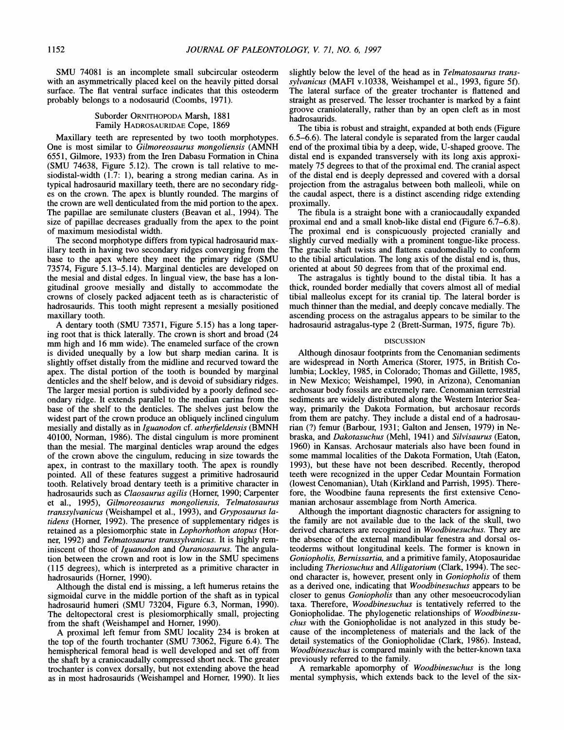SMU 74081 is an incomplete small subcircular osteoderm with an asymmetrically placed keel on the heavily pitted dorsal surface. The flat ventral surface indicates that this osteoderm probably belongs to a nodosaurid (Coombs, 1971).

### Suborder ORNITHOPODA Marsh, 1881 Family HADROSAURIDAE Cope, 1869

Maxillary teeth are represented by two tooth morphotypes. One is most similar to *Gilmoreosaurus mongoliensis* (AMNH 6551, Gilmore, 1933) from the Iren Dabasu Formation in China (SMU 74638, Figure 5.12). The crown is tall relative to mesiodistal-width (1.7: I), bearing a strong median carina. As in typical hadrosaurid maxillary teeth, there are no secondary ridges on the crown. The apex is bluntly rounded. The margins of the crown are well denticulated from the mid portion to the apex. The papillae are semilunate clusters (Beavan et al., 1994). The size of papillae decreases gradually from the apex to the point of maximum mesiodistal width.

The second morphotype differs from typical hadrosaurid maxillary teeth in having two secondary ridges converging from the base to the apex where they meet the primary ridge (SMU 73574, Figure 5.13-5.14). Marginal denticles are developed on the mesial and distal edges. In lingual view, the base has a longitudinal groove mesially and distally to accommodate the crowns of closely packed adjacent teeth as is characteristic of hadrosaurids. This tooth might represent a mesially positioned maxillary tooth.

A dentary tooth (SMU 73571, Figure 5.15) has a long tapering root that is thick laterally. The crown is short and broad (24 mm high and 16 mm wide). The enameled surface of the crown is divided unequally by a low but sharp median carina. It is slightly offset distally from the midline and recurved toward the apex. The distal portion of the tooth is bounded by marginal denticles and the shelf below, and is devoid of subsidiary ridges. The larger mesial portion is subdivided by a poorly defined secondary ridge. It extends parallel to the median carina from the base of the shelf to the denticles. The shelves just below the widest part of the crown produce an obliquely inclined cingulum mesially and distally as in *Iguanodon* cf. *athetfieldensis* (BMNH 40100, Norman, 1986). The distal cingulum is more prominent than the mesial. The marginal denticles wrap around the edges of the crown above the cingulum, reducing in size towards the apex, in contrast to the maxillary tooth. The apex is roundly pointed. All of these features suggest a primitive hadrosaurid tooth. Relatively broad dentary teeth is a primitive character in hadrosaurids such as *Claosaurus agilis* (Horner, 1990; Carpenter et al., 1995), *Gilmoreosaurus mongoliensis, Telmatosaurus transsylvanicus* (Weishampel et al., 1993), and *Gryposaurus latidens* (Horner, 1992). The presence of supplementary ridges is retained as a plesiomorphic state in *Lophorhothon atopus* (Horner, 1992) and *Telmatosaurus transsylvanicus.* It is highly reminiscent of those of *Iguanodon* and *Ouranosaurus.* The angulation between the crown and root is low in the SMU specimens (1 15 degrees), which is interpreted as a primitive character in hadrosaurids (Homer, 1990).

Although the distal end is missing, a left humerus retains the sigmoidal curve in the middle portion of the shaft as in typical hadrosaurid humeri (SMU 73204, Figure 6.3, Norman, 1990). The deltopectoral crest is plesiomorphically small, projecting from the shaft (Weishampel and Homer, 1990).

**A** proximal left femur from SMU locality 234 is broken at the top of the fourth trochanter (SMU 73062, Figure 6.4). The hemispherical femoral head is well developed and set off from the shaft by a craniocaudally compressed short neck. The greater trochanter is convex dorsally, but not extending above the head as in most hadrosaurids (Weishampel and Homer, 1990). It lies

slightly below the level of the head as in *Telmatosaurus transsylvanicus* (MAFI v.10338, Weishampel et al., 1993, figure 5f). The lateral surface of the greater trochanter is flattened and straight as preserved. The lesser trochanter is marked by a faint groove craniolaterally, rather than by an open cleft as in most hadrosaurids.

The tibia is robust and straight, expanded at both ends (Figure 6.5-6.6). The lateral condyle is separated from the larger caudal end of the proximal tibia by a deep, wide, U-shaped groove. The distal end is expanded transversely with its long axis approximately 75 degrees to that of the proximal end. The cranial aspect of the distal end is deeply depressed and covered with a dorsal projection from the astragalus between both malleoli, while on the caudal aspect, there is a distinct ascending ridge extending proximally.

The fibula is a straight bone with a craniocaudally expanded proximal end and a small knob-like distal end (Figure 6.7-6.8). The proximal end is conspicuously projected cranially and slightly curved medially with a prominent tongue-like process. The gracile shaft twists and flattens caudomedially to conform to the tibial articulation. The long axis of the distal end is, thus, oriented at about 50 degrees from that of the proximal end.

The astragalus is tightly bound to the distal tibia. It has a thick, rounded border medially that covers almost all of medial tibial malleolus except for its cranial tip. The lateral border is much thinner than the medial, and deeply concave medially. The ascending process on the astragalus appears to be similar to the hadrosaurid astragalus-type 2 (Brett-Surman, 1975, figure 7b).

#### DISCUSSION

Although dinosaur footprints from the Cenomanian sediments are widespread in North America (Storer, 1975, in British Columbia; Lockley, 1985, in Colorado; Thomas and Gillette, 1985, in New Mexico; Weishampel, 1990, in Arizona), Cenomanian archosaur body fossils are extremely rare. Cenomanian terrestrial sediments are widely distributed along the Westem Interior Seaway, primarily the Dakota Formation, but archosaur records from them are patchy. They include a distal end of a hadrosaurian (?) femur (Barbour, 1931; Galton and Jensen, 1979) in Nebraska, and *Dakotasuchus* (Mehl, 1941) and *Silvisaurus* (Eaton, 1960) in Kansas. Archosaur materials also have been found in some mammal localities of the Dakota Formation, Utah (Eaton, 1993), but these have not been described. Recently, theropod teeth were recognized in the upper Cedar Mountain Formation (lowest Cenomanian), Utah (Kirkland and Parrish, 1995). Therefore, the Woodbine fauna represents the first extensive Cenomanian archosaur assemblage from North America.

Although the important diagnostic characters for assigning to the family are not available due to the lack of the skull, two derived characters are recognized in *Woodbinesuchus.* They are the absence of the external mandibular fenestra and dorsal osteoderms without longitudinal keels. The former is known in *Goniopholis, Bemissartia,* and a primitive family, Atoposauridae including *Theriosuchus* and *Alligatorium* (Clark, 1994). The second character is, however, present only in *Goniopholis* of them as a derived one, indicating that *Woodbinesuchus* appears to be closer to genus *Goniopholis* than any other mesoeucrocodylian taxa. Therefore, *Woodbinesuchus* is tentatively referred to the Goniopholidae. The phylogenetic relationships of *Woodbinesuchus* with the Goniopholidae is not analyzed in this study because of the incompleteness of materials and the lack of the detail systematics of the Goniopholidae (Clark, 1986). Instead, *Woodbinesuchus* is compared mainly with the better-known taxa previously referred to the family.

A remarkable apomorphy of *Woodbinesuchus* is the long mental symphysis, which extends back to the level of the six-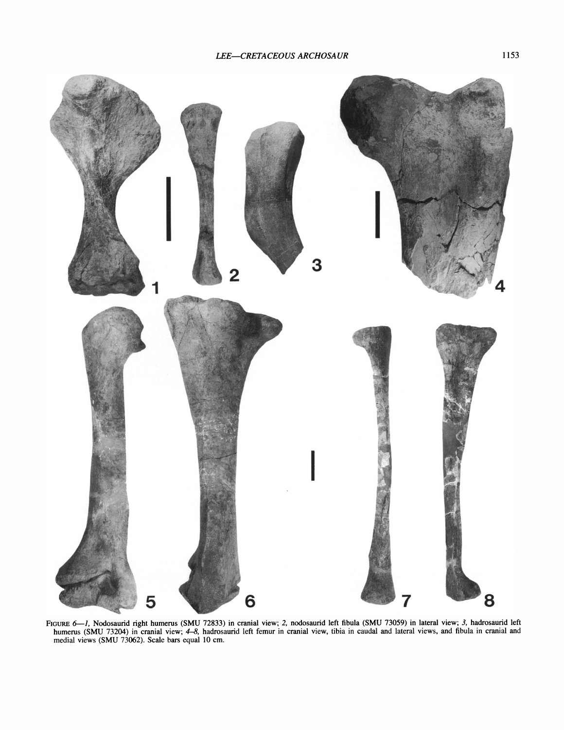

Figure 6—1, Nodosaurid right humerus (SMU 72833) in cranial view; 2, nodosaurid left fibula (SMU 73059) in lateral view; 3, hadrosaurid left **humerus (SMU 73204) in cranial view; 4-8, hadrosaurid left femur in cranial view, tibia in caudal and lateral views, and fibula in cranial and medial views (SMU 73062). Scale bars equal 10 cm.**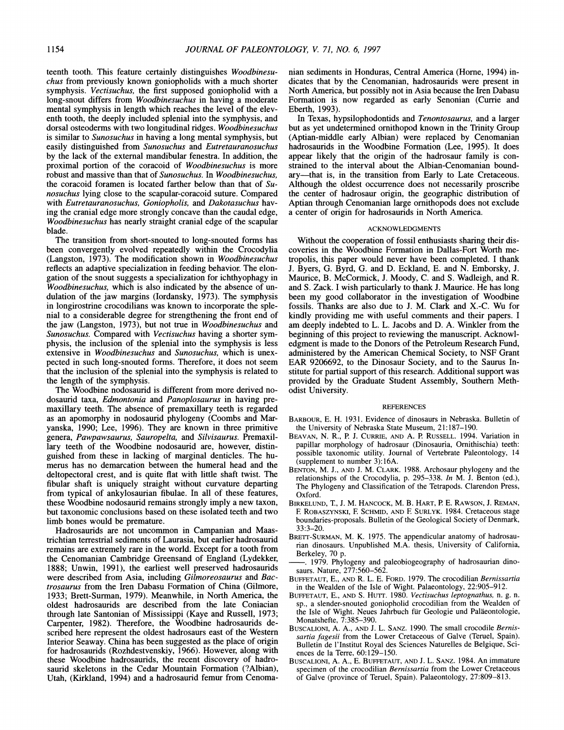teenth tooth. This feature certainly distinguishes *Woodbinesuchus* from previously known goniopholids with a much shorter symphysis. *Vectisuchus,* the first supposed goniopholid with a long-snout differs from *Woodbinesuchus* in having a moderate mental symphysis in length which reaches the level of the eleventh tooth, the deeply included splenial into the symphysis, and dorsal osteoderms with two longitudinal ridges. Woodbinesuchus is similar to *Sunosuchus* in having a long mental symphysis, but easily distinguished from *Sunosuchus* and *Eutretauranosuchus*  by the lack of the external mandibular fenestra. In addition, the proximal portion of the coracoid of *Woodbinesuchus* is more robust and massive than that of *Sunosuchus.* In *Woodbinesuchus,*  the coracoid foramen is located farther below than that of *Sunosuchus* lying close to the scapular-coracoid suture. Compared with *Eutretauranosuchus, Goniopholis,* and *Dakotasuchus* having the cranial edge more strongly concave than the caudal edge, *Woodbinesuchus* has nearly straight cranial edge of the scapular blade.

The transition from short-snouted to long-snouted forms has been convergently evolved repeatedly within the Crocodylia (Langston, 1973). The modification shown in *Woodbinesuchus*  reflects an adaptive specialization in feeding behavior. The elongation of the snout suggests a specialization for ichthyophagy in *Woodbinesuchus,* which is also indicated by the absence of undulation of the jaw margins (Iordansky, 1973). The symphysis in longirostrine crocodilians was known to incorporate the splenial to a considerable degree for strengthening the front end of the jaw (Langston, 1973), but not true in *Woodbinesuchus* and *Sunosuchus.* Compared with *Vectisuchus* having a shorter symphysis, the inclusion of the splenial into the symphysis is less extensive in *Woodbinesuchus* and *Sunosuchus,* which is unexpected in such long-snouted forms. Therefore, it does not seem that the inclusion of the splenial into the symphysis is related to the length of the symphysis.

The Woodbine nodosaurid is different from more derived nodosaurid taxa, *Edrnontonia* and *Panoplosaurus* in having premaxillary teeth. The absence of premaxillary teeth is regarded as an apomorphy in nodosaurid phylogeny (Coombs and Maryanska, 1990; Lee, 1996). They are known in three primitive genera, *Pawpawsaurus, Sauropelta,* and *Silvisaurus.* Premaxillary teeth of the Woodbine nodosaurid are, however, distinguished from these in lacking of marginal denticles. The humerus has no demarcation between the humeral head and the deltopectoral crest, and is quite flat with little shaft twist. The fibular shaft is uniquely straight without curvature departing from typical of ankylosaurian fibulae. In all of these features, these Woodbine nodosaurid remains strongly imply a new taxon, but taxonomic conclusions based on these isolated teeth and two limb bones would be premature.

Hadrosaurids are not uncommon in Campanian and Maastrichtian terrestrial sediments of Laurasia, but earlier hadrosaurid remains are extremely rare in the world. Except for a tooth from the Cenomanian Cambridge Greensand of England (Lydekker, 1888; Unwin, 1991), the earliest well preserved hadrosaurids were described from Asia, including *Gilrnoreosaurus* and *Bactrosaurus* from the Iren Dabasu Formation of China (Gilmore, 1933; Brett-Surman, 1979). Meanwhile, in North America, the oldest hadrosaurids are described from the late Coniacian through late Santonian of Mississippi (Kaye and Russell, 1973; Carpenter, 1982). Therefore, the Woodbine hadrosaurids described here represent the oldest hadrosaurs east of the Western Interior Seaway. China has been suggested as the place of origin for hadrosaurids (Rozhdestvenskiy, 1966). However, along with these Woodbine hadrosaurids, the recent discovery of hadrosaurid skeletons in the Cedar Mountain Formation (?Albian), Utah, (Kirkland, 1994) and a hadrosaurid femur from Cenomanian sediments in Honduras, Central America (Home, 1994) indicates that by the Cenomanian, hadrosaurids were present in North America, but possibly not in Asia because the Iren Dabasu Formation is now regarded as early Senonian (Currie and Eberth, 1993).

In Texas, hypsilophodontids and *Tenontosaurus,* and a larger but as yet undetermined ornithopod known in the Trinity Group (Aptian-middle early Albian) were replaced by Cenomanian hadrosaurids in the Woodbine Formation (Lee, 1995). It does appear likely that the origin of the hadrosaur family is constrained to the interval about the Albian-Cenomanian boundary—that is, in the transition from Early to Late Cretaceous. Although the oldest occurrence does not necessarily proscribe the center of hadrosaur origin, the geographic distribution of Aptian through Cenomanian large ornithopods does not exclude a center of origin for hadrosaurids in North America.

#### ACKNOWLEDGMENTS

Without the cooperation of fossil enthusiasts sharing their discoveries in the Woodbine Formation in Dallas-Fort Worth metropolis, this paper would never have been completed. I thank J. Byers, G. Byrd, G. and D. Eckland, E. and N. Emborsky, J. Maurice, B. McCormick, J. Moody, C. and S. Wadleigh, and R. and S. Zack. I wish particularly to thank J. Maurice. He has long been my good collaborator in the investigation of Woodbine fossils. Thanks are also due to J. M. Clark and X.-C. Wu for kindly providing me with useful comments and their papers. I am deeply indebted to L. L. Jacobs and D. A. Winkler from the beginning of this project to reviewing the manuscript. Acknowledgment is made to the Donors of the Petroleum Research Fund, administered by the American Chemical Society, to NSF Grant EAR 9206692, to the Dinosaur Society, and to the Saurus Institute for partial support of this research. Additional support was provided by the Graduate Student Assembly, Southern Methodist University.

### REFERENCES

- BARBOUR, E. H. 1931. Evidence of dinosaurs in Nebraska. Bulletin of the University of Nebraska State Museum, 21: 187-190.
- BEAVAN, N. R., P. J. CURRIE, AND A. P. RUSSELL. 1994. Variation in papillar morphology of hadrosaur (Dinosauria, Omithischia) teeth: possible taxonomic utility. Journal of Vertebrate Paleontology, 14 (supplement to number 3): 16A.
- BENTON, M. J., AND J. M. CLARK. 1988. Archosaur phylogeny and the relationships of the Crocodylia, p. 295-338. *In* M. J. Benton (ed.), The Phylogeny and Classification of the Tetrapods. Clarendon Press, Oxford.
- BIRKELUND, T., J. M. HANCOCK, M. B. HART, P. E. RAWSON, J. REMAN, E ROBASZYNSKI, E SCHMID,AND E SURLYK.1984. Cretaceous stage boundaries-proposals. Bulletin of the Geological Society of Denmark, 33:3-20.
- BRETT-SURMAN, M. K. 1975. The appendicular anatomy of hadrosaurian dinosaurs. Unpublished M.A. thesis, University of California, boundaries-proposals. Bulletin of the Geological Society of Denmark, 33:3–20.<br>BRETT-SURMAN, M. K. 1975. The appendicular anatomy of hadrosaurian dinosaurs. Unpublished M.A. thesis, University of California, Berkeley, 70 p.
- saurs. Nature, 277:560-562.
- BUFFETAUT, E., AND R. L. E. FORD. 1979. The crocodilian *Bernissartia*  in the Wealden of the Isle of Wight. Palaeontology, 22:905-912.
- BUFFETAUT,E., AND S. Hum. 1980. *Vectisuchus leptognathus,* n. g. n. sp., a slender-snouted goniopholid crocodilian from the Wealden of the Isle of Wight. Neues Jahrbuch fiir Geologie und Palaeontologie, Monatshefte, 7:385-390.
- BUSCALIONI, A. A,, AND J. L. SANZ. 1990. The small crocodile *Bernis*sartia fagesii from the Lower Cretaceous of Galve (Teruel, Spain). Bulletin de 1'Institut Royal des Sciences Naturelles de Belgique, Sciences de la Terre, 60:129-150.
- BUSCALIONI, A. A., E. BUFFETAUT, AND J. L. SANZ. 1984. An immature specimen of the crocodilian *Bernissartia* from the Lower Cretaceous of Galve (province of Teruel, Spain). Palaeontology, 27:809-813.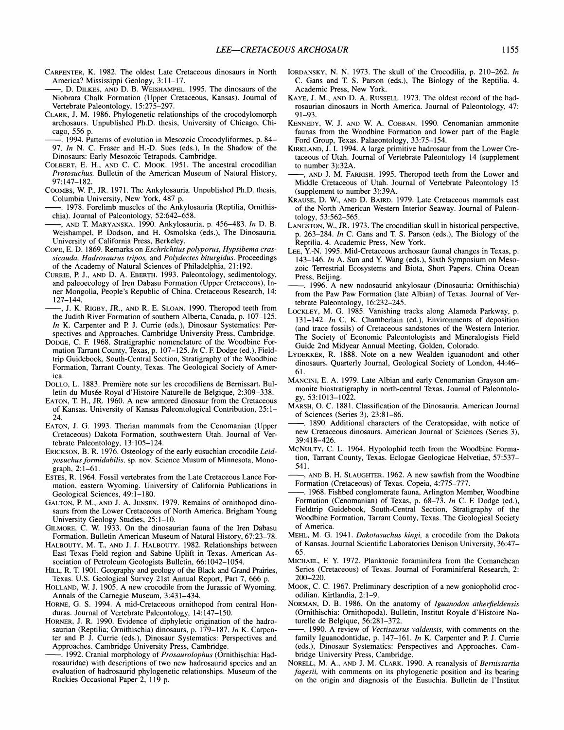- CARPENTER, K. 1982. The oldest Late Cretaceous dinosaurs in North<br>America? Mississippi Geology, 3:11-17.
- , D. DILKES, AND D. B. WEISHAMPEL. 1995. The dinosaurs of the Niobrara Chalk Formation (Upper Cretaceous, Kansas). Journal of Vertebrate Paleontology, 15:275-297.
- CLARK, J. M. 1986. Phylogenetic relationships of the crocodylomorph archosaurs. Unpublished Ph.D. thesis, University of Chicago, Chicago, 556 p.
- -. 1994. Patterns of evolution in Mesozoic Crocodyliformes, p. 84- 97. *In* N. C. Fraser and H.-D. Sues (eds.), In the Shadow of the Dinosaurs: Early Mesozoic Tetrapods. Cambridge.
- COLBERT,E. H., AND C. C. MOOK. 1951. The ancestral crocodilian *Protosuchus.* Bulletin of the American Museum of Natural History, 97:147-182. Colbert, E. H., AND C. C. Mook. 1951. The ancestral crocodilian *Protosuchus*. Bulletin of the American Museum of Natural History, 97:147–182.<br>Coomers, W. P., JR. 1971. The Ankylosauria. Unpublished Ph.D. thesis, Columbia
- COOMBS, W. P., JR. 1971. The Ankylosauria. Unpublished Ph.D. thesis, Columbia University, New York, 487 p.
- 
- 97:147–182.<br>Cooms, W. P., JR. 1971. The Ankylosauria. Unpublished Ph.D. thesis,<br>Columbia University, New York, 487 p.<br>——. 1978. Forelimb muscles of the Ankylosauria (Reptilia, Ornithis-<br>chia). Journal of Paleontology, 52:6 University of California Press, Berkeley.
- COPE, E. D. 1869. Remarks on *Eschrichtius polyporus, Hypsibema crassicauda, Hadrosaurus tripos,* and *Polydectes biturgidus.* Proceedings of the Academy of Natural Sciences of Philadelphia, 21:192.
- CURRIE, P. J., AND D. A. EBERTH. 1993. Paleontology, sedimentology, and paleoecology of Iren Dabasu Formation (Upper Cretaceous), Inner Mongolia, People's Republic of China. Cretaceous Research, 14: 127-144.
- -, J. K. RIGBY, JR., AND R. E. SLOAN. 1990. Theropod teeth from the Judith River Formation of southern Alberta, Canada, p. 107-125. *In* K. Carpenter and P. J. Currie (eds.), Dinosaur Systematics: Perspectives and Approaches. Cambridge University Press, Cambridge.
- DODGE, C. E 1968. Stratigraphic nomenclature of the Woodbine Formation Tarrant County, Texas, p. 107-125. *In* C. E Dodge (ed.), Fieldtrip Guidebook, South-Central Section, Stratigraphy of the Woodbine Formation, Tarrant County, Texas. The Geological Society of America.
- DOLLO, L. 1883. Premiere note sur les crocodiliens de Bernissart. Bulletin du Musée Royal d'Histoire Naturelle de Belgique, 2:309-338.
- EATON, T. H., JR. 1960. A new armored dinosaur from the Cretaceous of Kansas. University of Kansas Paleontological Contribution, 25: 1- 24.
- EATON, J. G. 1993. Therian mammals from the Cenomanian (Upper Cretaceous) Dakota Formation, southwestern Utah. Journal of Vertebrate Paleontology, 13:105-124.
- ERICKSON, B. R. 1976. Osteology of the early eusuchian crocodile *Leidyosuchus formidabilis,* sp. nov. Science Musum of Minnesota, Monograph, 2:l-61.
- ESTES, R. 1964. Fossil vertebrates from the Late Cretaceous Lance Formation, eastern Wyoming. University of California Publications in Geological Sciences, 49:1-180.
- GALTON, P. M., AND J. A. JENSEN. 1979. Remains of ornithopod dinosaurs from the Lower Cretaceous of North America. Brigham Young University Geology Studies, 25: 1-10.
- GILMORE, C. W. 1933. On the dinosaurian fauna of the Iren Dabasu Formation. Bulletin American Museum of Natural History, 67:23-78.
- HALBOUTY, M. T., AND J. J. HALBOUTY. 1982. Relationships between East Texas Field region and Sabine Uplift in Texas. American Association of Petroleum Geologists Bulletin, 66:1042-1054.
- HILL, R. T. 1901. Geography and geology of the Black and Grand Prairies, Texas. U.S. Geological Survey 21st Annual Report, Part 7, 666 p.
- HOLLAND, W. J. 1905. A new crocodile from the Jurassic of Wyoming. Annals of the Carnegie Museum, 3:431-434.
- HORNE, G. S. 1994. A mid-Cretaceous ornithopod from central Honduras. Journal of Vertebrate Paleontology, 14: 147-150.
- HORNER, J. R. 1990. Evidence of diphyletic origination of the hadrosaurian (Reptilia; Ornithischia) dinosaurs, p. 179-187. *In* K. Carpenter and **P.** J. Currie (eds.), Dinosaur Systematics: Perspectives and duras. Journal of Vertebrate Paleontology, 14:147-150.<br>HORNER, J. R. 1990. Evidence of diphyletic origination of the hadro-<br>saurian (Reptilia; Ornithischia) dinosaurs, p. 179-187. In K. Carpen-<br>ter and P. J. Currie (eds.),
- rosauridae) with descriptions of two new hadrosaurid species and an evaluation of hadrosaurid phylogenetic relationships. Museum of the Rockies Occasional Paper 2, 119 p.
- IORDANSKY, N.N. 1973. The skull of the Crocodilia, p. 210-262. *In* C. Gans and T. S. Parson (eds.), The Biology of the Reptilia. 4. Academic Press, New York.
- KAYE, J. M., AND D. A. RUSSELL. 1973. The oldest record of the hadrosaurian dinosaurs in North America. Journal of Paleontology, 47: 91-93.
- KENNEDY, W. J. AND W. A. COBBAN. 1990. Cenomanian ammonite faunas from the Woodbine Formation and lower part of the Eagle Ford Group, Texas. Palaeontology, 33:75-154.
- KIRKLAND, J. I. 1994. A large primitive hadrosaur from the Lower Cretaceous of Utah. Journal of Vertebrate Paleontology 14 (supplement to number 3):32A.
- AND J. M. FARRISH. 1995. Theropod teeth from the Lower and Middle Cretaceous of Utah. Journal of Vertebrate Paleontology 15 (supplement to number 3):39A.
- KRAUSE, D. W., AND D. BAIRD. 1979. Late Cretaceous mammals east of the North American Western Interior Seaway. Journal of Paleontology, 53:562-565.
- LANGSTON, W., JR. 1973. The crocodilian skull in historical perspective, p. 263-284. *In* C. Gans and T. S. Parson (eds.), The Biology of the Reptilia. 4. Academic Press, New York.
- LEE, Y.-N. 1995. Mid-Cretaceous archosaur faunal changes in Texas, p. 143-146. *In* A. Sun and Y. Wang (eds.), Sixth Symposium on Mesozoic Terrestrial Ecosystems and Biota, Short Papers. China Ocean Press, Beijing.
- -. 1996. A new nodosaurid ankylosaur (Dinosauria: Omithischia) from the Paw Paw Formation (late Albian) of Texas. Journal of Vertebrate Paleontology, 16:232-245.
- LOCKLEY, M. G. 1985. Vanishing tracks along Alameda Parkway, p. 131-142. *In* C. K. Chamberlain (ed.), Environments of deposition (and trace fossils) of Cretaceous sandstones of the Western Interior. The Society of Economic Paleontologists and Mineralogists Field Guide 2nd Midyear Annual Meeting, Golden, Colorado.
- LYDEKKER, R. 1888. Note on a new Wealden iguanodont and other dinosaurs. Quarterly Journal, Geological Society of London, 44:46- 61.
- MANCINI,E. A. 1979. Late Albian and early Cenomanian Grayson ammonite biostratigraphy in north-central Texas. Journal of Paleontology, 53:1013-1022.
- MARSH, 0. C. 1881. Classification of the Dinosauria. American Journal of Sciences (Series 3), 23:81-86.
- -. 1890. Additional characters of the Ceratopsidae, with notice of new Cretaceous dinosaurs. American Journal of Sciences (Series 3), 39:418-426.
- McNULTY, C. L. 1964. Hypolophid teeth from the Woodbine Formation, Tarrant County, Texas. Eclogae Geologicae Helvetiae, 57:537-541. McNULTY, C. L. 1964. Hypolophid teeth from the Woodbine Formation, Tarrant County, Texas. Eclogae Geologicae Helvetiae, 57:537–541.<br>—, AND B. H. SLAUGHTER. 1962. A new sawfish from the Woodbine Formation (Cretaceous) of Te
- -, AND B. H. SLAUGHTER. 1962. A new sawfish from the Woodbine
- Formation (Cenomanian) of Texas, p. 68-73. *In* C. F. Dodge (ed.), Fieldtrip Guidebook, South-Central Section, Stratigraphy of the Woodbine Formation, Tarrant County, Texas. The Geological Society of America.
- MEHL, M. G. 1941. *Dakotasuchus kingi,* a crocodile from the Dakota of Kansas. Journal Scientific Laboratories Denison University, 36:47- 65.
- MICHAEL, F. Y. 1972. Planktonic foraminifera from the Comanchean Series (Cretaceous) of Texas. Journal of Foraminiferal Research, 2: 200-220.
- MOOK, C. C. 1967. Preliminary description of a new goniopholid crocodilian. Kirtlandia, 2: 1-9.
- NORMAN,D. B. 1986. On the anatomy of *Iguanodon atherfieldensis*  (Ornithischia: Ornithopoda). Bulletin, Institut Royale d'Histoire Na-Mook, C. C. 1967. Preliminary description of a new goniopholid crocolilian. Kirtlandia, 2:1–9.<br>NORMAN, D. B. 1986. On the anatomy of *Iguanodon atherfieldensis* (Ornithischia: Ornithopoda). Bulletin, Institut Royale d'Hist
- family Iguanodontidae, p. 147-161. *In* K. Carpenter and **P.** J. Currie (eds.), Dinosaur Systematics: Perspectives and Approaches. Cambridge University Press, Cambridge.
- NORELL, M. A., AND J. M. CLARK. 1990. A reanalysis of *Bernissartia fagesii,* with comments on its phylogenetic position and its bearing on the origin and diagnosis of the Eusuchia. Bulletin de 1'Institut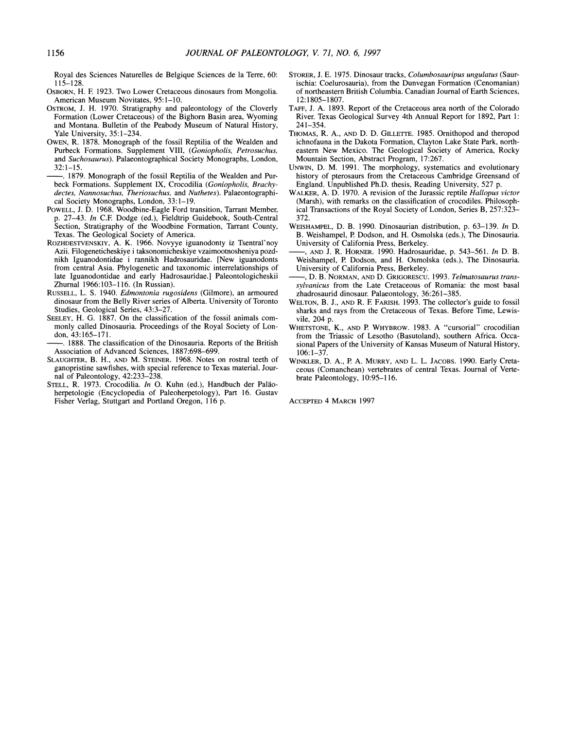Royal des Sciences Naturelles de Belgique Sciences de la Terre, 60: 115-128.

- OSBORN, H. F. 1923. Two Lower Cretaceous dinosaurs from Mongolia. American Museum Novitates, 95:l-10.
- OSTROM, J. H. 1970. Stratigraphy and paleontology of the Cloverly Formation (Lower Cretaceous) of the Bighorn Basin area, Wyoming and Montana. Bulletin of the Peabody Museum of Natural History, Yale University, 35:1-234.
- OWEN, R. 1878. Monograph of the fossil Reptilia of the Wealden and Purbeck Formations. Supplement VIII, (Goniopholis, Petrosuchus, and Suchosaurus). Palaeontographical Society Monographs, London, 32:l-15.
- -. 1879. Monograph of the fossil Reptilia of the Wealden and Purbeck Formations. Supplement IX, Crocodilia (Goniopholis, Brachydectes, Nannosuchus, Theriosuchus, and Nuthetes). Palaeontographical Society Monographs, London, 33: 1-19.
- POWELL, J. D. 1968. Woodbine-Eagle Ford transition, Tarrant Member, p. 27-43. In C.E Dodge (ed.), Fieldtrip Guidebook, South-Central Section, Stratigraphy of the Woodbine Formation, Tarrant County, Texas. The Geological Society of America.
- ROZHDESTVENSKIY, A. K. 1966. Novyye iguanodonty iz Tsentral'noy Azii. Filogeneticheskiye i taksonomicheskiye vzaimootnosheniya pozdnikh Iguanodontidae i rannikh Hadrosauridae. [New iguanodonts from central Asia. Phylogenetic and taxonomic interrelationships of late Iguanodontidae and early Hadrosauridae.] Paleontologicheskii Zhurnal 1966:103-116. (In Russian).
- RUSSELL, L. S. 1940. Edmontonia rugosidens (Gilmore), an armoured dinosaur from the Belly River series of Alberta. University of Toronto Studies, Geological Series, 43:3-27.
- SEELEY, H. G. 1887. On the classification of the fossil animals commonly called Dinosauria. Proceedings of the Royal Society of London, 43:165-171.
- . 1888. The classification of the Dinosauria. Reports of the British Association of Advanced Sciences, 1887:698-699.
- SLAUGHTER, B. H., AND M. STEINER. 1968. Notes on rostra1 teeth of ganopristine sawfishes, with special reference to Texas material. Journal of Paleontology, 42:233-238.
- STELL, R. 1973. Crocodilia. In O. Kuhn (ed.), Handbuch der Paläoherpetologie (Encyclopedia of Paleoherpetology), Part 16. Gustav Fisher Verlag, Stuttgart and Portland Oregon, 116 p.
- STORER, J. E. 1975. Dinosaur tracks, Columbosauripus ungulatus (Saurischia: Coelurosauria), from the Dunvegan Formation (Cenomanian) of northeastern British Columbia. Canadian Journal of Earth Sciences, 12:1805-1 807.
- TAFF, J. A. 1893. Report of the Cretaceous area north of the Colorado River. Texas Geological Survey 4th Annual Report for 1892, Part 1: 241-354.
- THOMAS, R. A., AND D. D. GILLETTE. 1985. Ornithopod and theropod ichnofauna in the Dakota Formation, Clayton Lake State Park, northeastern New Mexico. The Geological Society of America, Rocky Mountain Section, Abstract Program, 17:267.
- UNWIN, D. M. 1991. The morphology, systematics and evolutionary history of pterosaurs from the Cretaceous Cambridge Greensand of England. Unpublished Ph.D. thesis, Reading University, 527 p.
- WALKER, A. D. 1970. A revision of the Jurassic reptile *Hallopus victor* (Marsh), with remarks on the classification of crocodiles. Philosophical Transactions of the Royal Society of London, Series B, 257:323- 372.
- WEISHAMPEL, D. B. 1990. Dinosaurian distribution, p. 63-139. In D. B. Weishampel, P. Dodson, and H. Osmolska (eds.), The Dinosauria. University of California Press, Berkeley.
- $-$ , AND J. R. HORNER. 1990. Hadrosauridae, p. 543–561. In D. B. Weishampel, P. Dodson, and H. Osmolska (eds.), The Dinosauria.<br>University of California Press, Berkeley. B. Weishampel, P. Dodson, and H. Osmolska (eds.), The Dinosauria.<br>University of California Press, Berkeley.<br>—, AND J. R. HORNER. 1990. Hadrosauridae, p. 543–561. In D. B.<br>Weishampel, P. Dodson, and H. Osmolska (eds.), The
- sylvanicus from the Late Cretaceous of Romania: the most basal zhadrosaurid dinosaur. Palaeontology, 36:261-385.
- WELTON, B. J., AND R. F. FARISH, 1993. The collector's guide to fossil sharks and rays from the Cretaceous of Texas. Before Time, Lewisvile, 204 p.
- WHETSTONE, K., AND P. WHYBROW. 1983. A "cursorial" crocodilian from the Triassic of Lesotho (Basutoland), southern Africa. Occasional Papers of the University of Kansas Museum of Natural History, 106:1-37.
- WINKLER,D. A,, P A. MURRY, AND L. L. JACOBS. 1990. Early Cretaceous (Comanchean) vertebrates of central Texas. Journal of Vertebrate Paleontology, 10:95-116.

ACCEPTED 4 MARCH 1997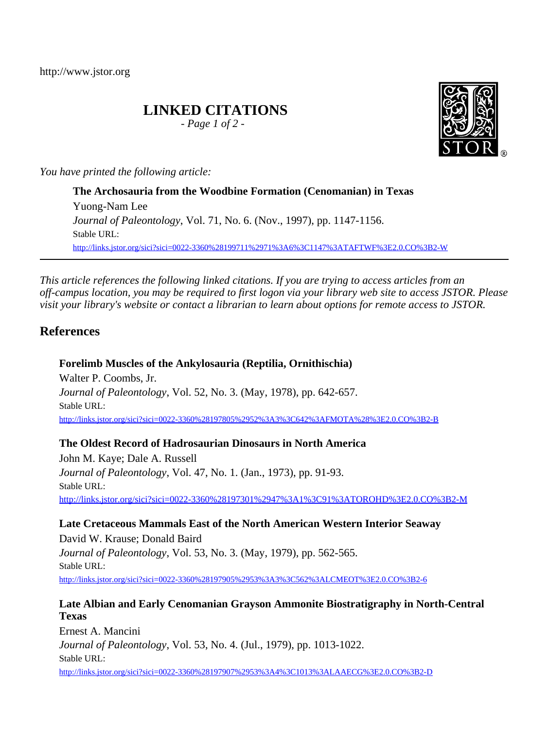http://www.jstor.org

# **LINKED CITATIONS**

*- Page 1 of 2 -*

*You have printed the following article:*

**The Archosauria from the Woodbine Formation (Cenomanian) in Texas** Yuong-Nam Lee *Journal of Paleontology*, Vol. 71, No. 6. (Nov., 1997), pp. 1147-1156. Stable URL: [http://links.jstor.org/sici?sici=0022-3360%28199711%2971%3A6%3C1147%3ATAFTWF%3E2.0.CO%3B2-W](http://links.jstor.org/sici?sici=0022-3360%28199711%2971%3A6%3C1147%3ATAFTWF%3E2.0.CO%3B2-W&origin=JSTOR-pdf)

*This article references the following linked citations. If you are trying to access articles from an off-campus location, you may be required to first logon via your library web site to access JSTOR. Please visit your library's website or contact a librarian to learn about options for remote access to JSTOR.*

# **References**

# **Forelimb Muscles of the Ankylosauria (Reptilia, Ornithischia)**

Walter P. Coombs, Jr. *Journal of Paleontology*, Vol. 52, No. 3. (May, 1978), pp. 642-657. Stable URL: [http://links.jstor.org/sici?sici=0022-3360%28197805%2952%3A3%3C642%3AFMOTA%28%3E2.0.CO%3B2-B](http://links.jstor.org/sici?sici=0022-3360%28197805%2952%3A3%3C642%3AFMOTA%28%3E2.0.CO%3B2-B&origin=JSTOR-pdf)

# **The Oldest Record of Hadrosaurian Dinosaurs in North America**

John M. Kaye; Dale A. Russell *Journal of Paleontology*, Vol. 47, No. 1. (Jan., 1973), pp. 91-93. Stable URL: [http://links.jstor.org/sici?sici=0022-3360%28197301%2947%3A1%3C91%3ATOROHD%3E2.0.CO%3B2-M](http://links.jstor.org/sici?sici=0022-3360%28197301%2947%3A1%3C91%3ATOROHD%3E2.0.CO%3B2-M&origin=JSTOR-pdf)

**Late Cretaceous Mammals East of the North American Western Interior Seaway** David W. Krause; Donald Baird *Journal of Paleontology*, Vol. 53, No. 3. (May, 1979), pp. 562-565. Stable URL: [http://links.jstor.org/sici?sici=0022-3360%28197905%2953%3A3%3C562%3ALCMEOT%3E2.0.CO%3B2-6](http://links.jstor.org/sici?sici=0022-3360%28197905%2953%3A3%3C562%3ALCMEOT%3E2.0.CO%3B2-6&origin=JSTOR-pdf)

# **Late Albian and Early Cenomanian Grayson Ammonite Biostratigraphy in North-Central Texas**

Ernest A. Mancini *Journal of Paleontology*, Vol. 53, No. 4. (Jul., 1979), pp. 1013-1022. Stable URL: [http://links.jstor.org/sici?sici=0022-3360%28197907%2953%3A4%3C1013%3ALAAECG%3E2.0.CO%3B2-D](http://links.jstor.org/sici?sici=0022-3360%28197907%2953%3A4%3C1013%3ALAAECG%3E2.0.CO%3B2-D&origin=JSTOR-pdf)